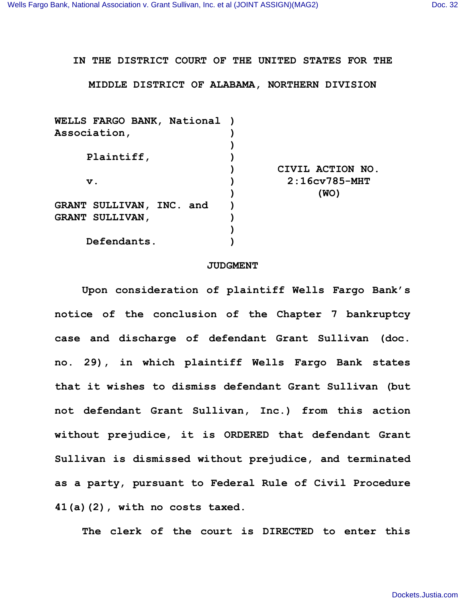## **IN THE DISTRICT COURT OF THE UNITED STATES FOR THE**

## **MIDDLE DISTRICT OF ALABAMA, NORTHERN DIVISION**

| WELLS FARGO BANK, National ) |                  |
|------------------------------|------------------|
| Association,                 |                  |
|                              |                  |
| Plaintiff,                   |                  |
|                              | CIVIL ACTION NO. |
| $\mathbf v$ .                | $2:16cv785-MHT$  |
|                              | (WO)             |
| GRANT SULLIVAN, INC. and     |                  |
| <b>GRANT SULLIVAN,</b>       |                  |
|                              |                  |
| Defendants.                  |                  |
|                              |                  |

## **JUDGMENT**

**Upon consideration of plaintiff Wells Fargo Bank's notice of the conclusion of the Chapter 7 bankruptcy case and discharge of defendant Grant Sullivan (doc. no. 29), in which plaintiff Wells Fargo Bank states that it wishes to dismiss defendant Grant Sullivan (but not defendant Grant Sullivan, Inc.) from this action without prejudice, it is ORDERED that defendant Grant Sullivan is dismissed without prejudice, and terminated as a party, pursuant to Federal Rule of Civil Procedure 41(a)(2), with no costs taxed.**

**The clerk of the court is DIRECTED to enter this**